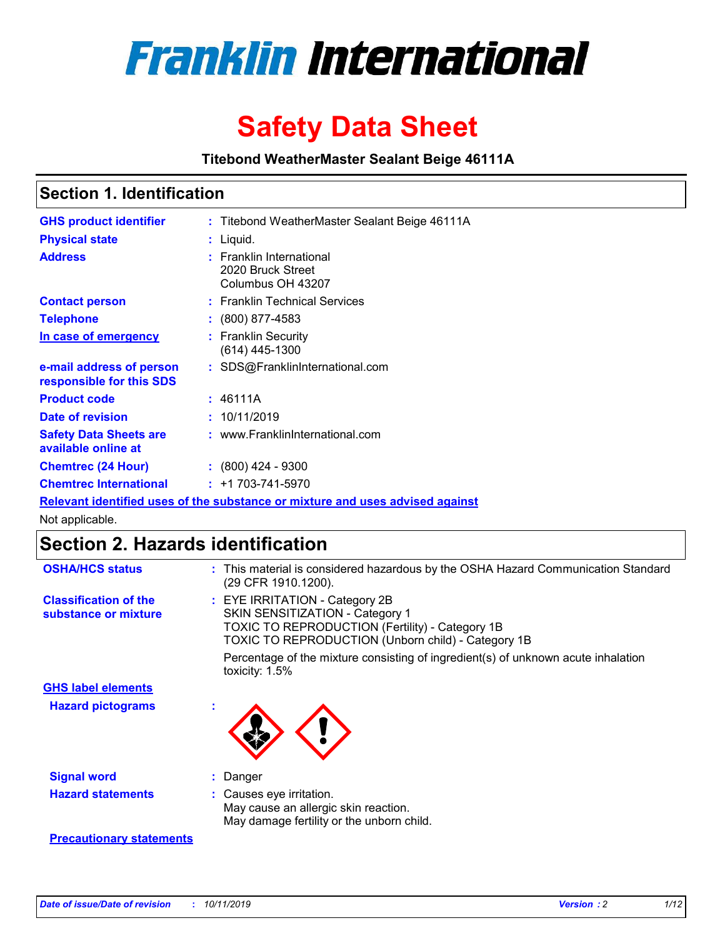

# **Safety Data Sheet**

**Titebond WeatherMaster Sealant Beige 46111A**

### **Section 1. Identification**

| <b>GHS product identifier</b>                        | : Titebond WeatherMaster Sealant Beige 46111A                                 |
|------------------------------------------------------|-------------------------------------------------------------------------------|
| <b>Physical state</b>                                | : Liquid.                                                                     |
| <b>Address</b>                                       | : Franklin International<br>2020 Bruck Street<br>Columbus OH 43207            |
| <b>Contact person</b>                                | : Franklin Technical Services                                                 |
| <b>Telephone</b>                                     | $\div$ (800) 877-4583                                                         |
| In case of emergency                                 | : Franklin Security<br>(614) 445-1300                                         |
| e-mail address of person<br>responsible for this SDS | : SDS@FranklinInternational.com                                               |
| <b>Product code</b>                                  | : 46111A                                                                      |
| Date of revision                                     | : 10/11/2019                                                                  |
| <b>Safety Data Sheets are</b><br>available online at | : www.FranklinInternational.com                                               |
| <b>Chemtrec (24 Hour)</b>                            | $\div$ (800) 424 - 9300                                                       |
| <b>Chemtrec International</b>                        | $: +1703 - 741 - 5970$                                                        |
|                                                      | Relevant identified uses of the substance or mixture and uses advised against |

Not applicable.

## **Section 2. Hazards identification**

| <b>OSHA/HCS status</b>                               | : This material is considered hazardous by the OSHA Hazard Communication Standard<br>(29 CFR 1910.1200).                                                                                 |
|------------------------------------------------------|------------------------------------------------------------------------------------------------------------------------------------------------------------------------------------------|
| <b>Classification of the</b><br>substance or mixture | : EYE IRRITATION - Category 2B<br>SKIN SENSITIZATION - Category 1<br><b>TOXIC TO REPRODUCTION (Fertility) - Category 1B</b><br><b>TOXIC TO REPRODUCTION (Unborn child) - Category 1B</b> |
|                                                      | Percentage of the mixture consisting of ingredient(s) of unknown acute inhalation<br>toxicity: $1.5\%$                                                                                   |
| <b>GHS label elements</b>                            |                                                                                                                                                                                          |
| <b>Hazard pictograms</b>                             |                                                                                                                                                                                          |
| <b>Signal word</b>                                   | : Danger                                                                                                                                                                                 |
| <b>Hazard statements</b>                             | : Causes eye irritation.<br>May cause an allergic skin reaction.<br>May damage fertility or the unborn child.                                                                            |
| <b>Precautionary statements</b>                      |                                                                                                                                                                                          |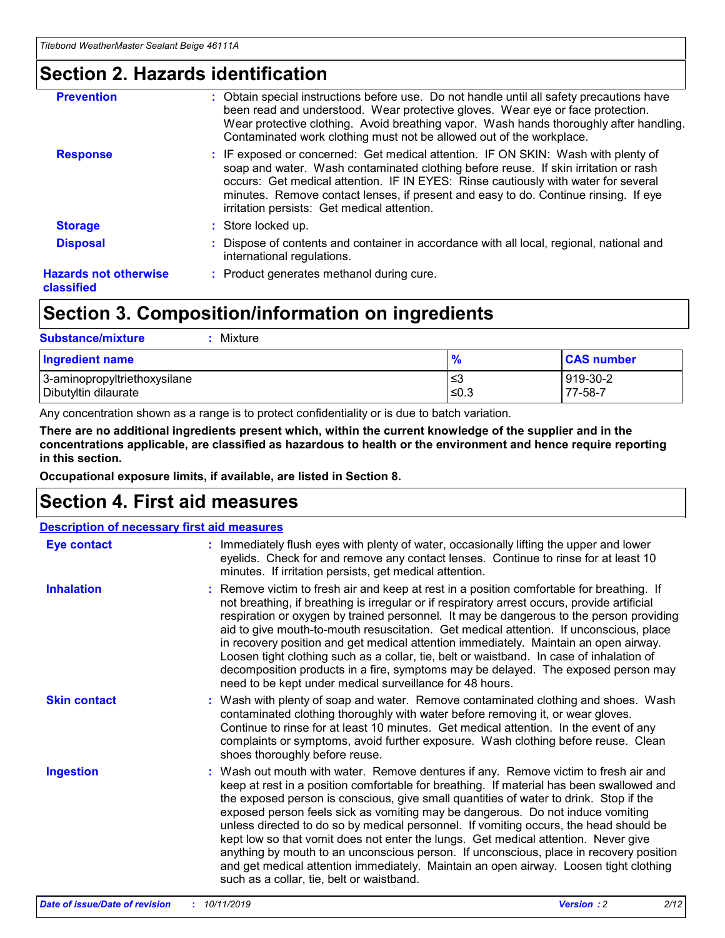### **Section 2. Hazards identification**

| <b>Prevention</b>                          | : Obtain special instructions before use. Do not handle until all safety precautions have<br>been read and understood. Wear protective gloves. Wear eye or face protection.<br>Wear protective clothing. Avoid breathing vapor. Wash hands thoroughly after handling.<br>Contaminated work clothing must not be allowed out of the workplace.                                                        |
|--------------------------------------------|------------------------------------------------------------------------------------------------------------------------------------------------------------------------------------------------------------------------------------------------------------------------------------------------------------------------------------------------------------------------------------------------------|
| <b>Response</b>                            | : IF exposed or concerned: Get medical attention. IF ON SKIN: Wash with plenty of<br>soap and water. Wash contaminated clothing before reuse. If skin irritation or rash<br>occurs: Get medical attention. IF IN EYES: Rinse cautiously with water for several<br>minutes. Remove contact lenses, if present and easy to do. Continue rinsing. If eye<br>irritation persists: Get medical attention. |
| <b>Storage</b>                             | : Store locked up.                                                                                                                                                                                                                                                                                                                                                                                   |
| <b>Disposal</b>                            | : Dispose of contents and container in accordance with all local, regional, national and<br>international regulations.                                                                                                                                                                                                                                                                               |
| <b>Hazards not otherwise</b><br>classified | : Product generates methanol during cure.                                                                                                                                                                                                                                                                                                                                                            |
|                                            |                                                                                                                                                                                                                                                                                                                                                                                                      |

### **Section 3. Composition/information on ingredients**

| <b>Substance/mixture</b><br>Mixture                  |            |                     |
|------------------------------------------------------|------------|---------------------|
| Ingredient name                                      | %          | <b>CAS number</b>   |
| 3-aminopropyltriethoxysilane<br>Dibutyltin dilaurate | ≤3<br>≤0.3 | 919-30-2<br>77-58-7 |

Any concentration shown as a range is to protect confidentiality or is due to batch variation.

**There are no additional ingredients present which, within the current knowledge of the supplier and in the concentrations applicable, are classified as hazardous to health or the environment and hence require reporting in this section.**

**Occupational exposure limits, if available, are listed in Section 8.**

### **Section 4. First aid measures**

| <b>Description of necessary first aid measures</b> |                                                                                                                                                                                                                                                                                                                                                                                                                                                                                                                                                                                                                                                                                                                                                                           |  |  |  |
|----------------------------------------------------|---------------------------------------------------------------------------------------------------------------------------------------------------------------------------------------------------------------------------------------------------------------------------------------------------------------------------------------------------------------------------------------------------------------------------------------------------------------------------------------------------------------------------------------------------------------------------------------------------------------------------------------------------------------------------------------------------------------------------------------------------------------------------|--|--|--|
| <b>Eye contact</b>                                 | : Immediately flush eyes with plenty of water, occasionally lifting the upper and lower<br>eyelids. Check for and remove any contact lenses. Continue to rinse for at least 10<br>minutes. If irritation persists, get medical attention.                                                                                                                                                                                                                                                                                                                                                                                                                                                                                                                                 |  |  |  |
| <b>Inhalation</b>                                  | : Remove victim to fresh air and keep at rest in a position comfortable for breathing. If<br>not breathing, if breathing is irregular or if respiratory arrest occurs, provide artificial<br>respiration or oxygen by trained personnel. It may be dangerous to the person providing<br>aid to give mouth-to-mouth resuscitation. Get medical attention. If unconscious, place<br>in recovery position and get medical attention immediately. Maintain an open airway.<br>Loosen tight clothing such as a collar, tie, belt or waistband. In case of inhalation of<br>decomposition products in a fire, symptoms may be delayed. The exposed person may<br>need to be kept under medical surveillance for 48 hours.                                                       |  |  |  |
| <b>Skin contact</b>                                | : Wash with plenty of soap and water. Remove contaminated clothing and shoes. Wash<br>contaminated clothing thoroughly with water before removing it, or wear gloves.<br>Continue to rinse for at least 10 minutes. Get medical attention. In the event of any<br>complaints or symptoms, avoid further exposure. Wash clothing before reuse. Clean<br>shoes thoroughly before reuse.                                                                                                                                                                                                                                                                                                                                                                                     |  |  |  |
| <b>Ingestion</b>                                   | : Wash out mouth with water. Remove dentures if any. Remove victim to fresh air and<br>keep at rest in a position comfortable for breathing. If material has been swallowed and<br>the exposed person is conscious, give small quantities of water to drink. Stop if the<br>exposed person feels sick as vomiting may be dangerous. Do not induce vomiting<br>unless directed to do so by medical personnel. If vomiting occurs, the head should be<br>kept low so that vomit does not enter the lungs. Get medical attention. Never give<br>anything by mouth to an unconscious person. If unconscious, place in recovery position<br>and get medical attention immediately. Maintain an open airway. Loosen tight clothing<br>such as a collar, tie, belt or waistband. |  |  |  |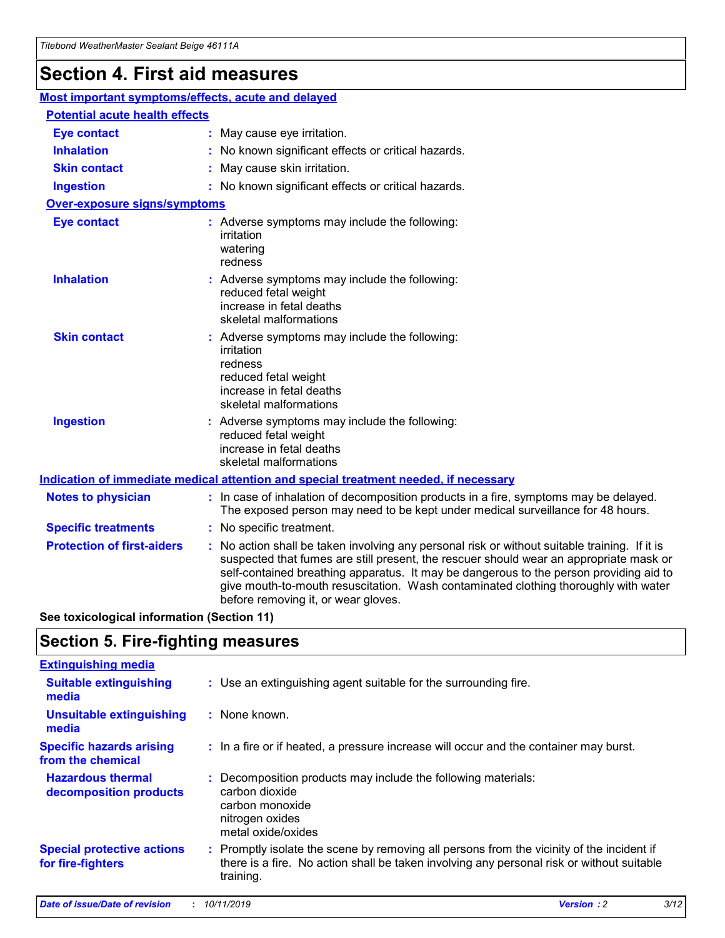## **Section 4. First aid measures**

| Most important symptoms/effects, acute and delayed |  |                                                                                                                                                                                                                                                                                                                                                                                                                 |
|----------------------------------------------------|--|-----------------------------------------------------------------------------------------------------------------------------------------------------------------------------------------------------------------------------------------------------------------------------------------------------------------------------------------------------------------------------------------------------------------|
| <b>Potential acute health effects</b>              |  |                                                                                                                                                                                                                                                                                                                                                                                                                 |
| <b>Eye contact</b>                                 |  | : May cause eye irritation.                                                                                                                                                                                                                                                                                                                                                                                     |
| <b>Inhalation</b>                                  |  | : No known significant effects or critical hazards.                                                                                                                                                                                                                                                                                                                                                             |
| <b>Skin contact</b>                                |  | : May cause skin irritation.                                                                                                                                                                                                                                                                                                                                                                                    |
| <b>Ingestion</b>                                   |  | : No known significant effects or critical hazards.                                                                                                                                                                                                                                                                                                                                                             |
| <b>Over-exposure signs/symptoms</b>                |  |                                                                                                                                                                                                                                                                                                                                                                                                                 |
| <b>Eye contact</b>                                 |  | : Adverse symptoms may include the following:<br>irritation<br>watering<br>redness                                                                                                                                                                                                                                                                                                                              |
| <b>Inhalation</b>                                  |  | : Adverse symptoms may include the following:<br>reduced fetal weight<br>increase in fetal deaths<br>skeletal malformations                                                                                                                                                                                                                                                                                     |
| <b>Skin contact</b>                                |  | : Adverse symptoms may include the following:<br>irritation<br>redness<br>reduced fetal weight<br>increase in fetal deaths<br>skeletal malformations                                                                                                                                                                                                                                                            |
| <b>Ingestion</b>                                   |  | : Adverse symptoms may include the following:<br>reduced fetal weight<br>increase in fetal deaths<br>skeletal malformations                                                                                                                                                                                                                                                                                     |
|                                                    |  | <b>Indication of immediate medical attention and special treatment needed, if necessary</b>                                                                                                                                                                                                                                                                                                                     |
| <b>Notes to physician</b>                          |  | : In case of inhalation of decomposition products in a fire, symptoms may be delayed.<br>The exposed person may need to be kept under medical surveillance for 48 hours.                                                                                                                                                                                                                                        |
| <b>Specific treatments</b>                         |  | : No specific treatment.                                                                                                                                                                                                                                                                                                                                                                                        |
| <b>Protection of first-aiders</b>                  |  | : No action shall be taken involving any personal risk or without suitable training. If it is<br>suspected that fumes are still present, the rescuer should wear an appropriate mask or<br>self-contained breathing apparatus. It may be dangerous to the person providing aid to<br>give mouth-to-mouth resuscitation. Wash contaminated clothing thoroughly with water<br>before removing it, or wear gloves. |

**See toxicological information (Section 11)**

### **Section 5. Fire-fighting measures**

| <b>Extinguishing media</b>                             |                                                                                                                                                                                                     |
|--------------------------------------------------------|-----------------------------------------------------------------------------------------------------------------------------------------------------------------------------------------------------|
| <b>Suitable extinguishing</b><br>media                 | : Use an extinguishing agent suitable for the surrounding fire.                                                                                                                                     |
| <b>Unsuitable extinguishing</b><br>media               | : None known.                                                                                                                                                                                       |
| <b>Specific hazards arising</b><br>from the chemical   | : In a fire or if heated, a pressure increase will occur and the container may burst.                                                                                                               |
| <b>Hazardous thermal</b><br>decomposition products     | : Decomposition products may include the following materials:<br>carbon dioxide<br>carbon monoxide<br>nitrogen oxides<br>metal oxide/oxides                                                         |
| <b>Special protective actions</b><br>for fire-fighters | : Promptly isolate the scene by removing all persons from the vicinity of the incident if<br>there is a fire. No action shall be taken involving any personal risk or without suitable<br>training. |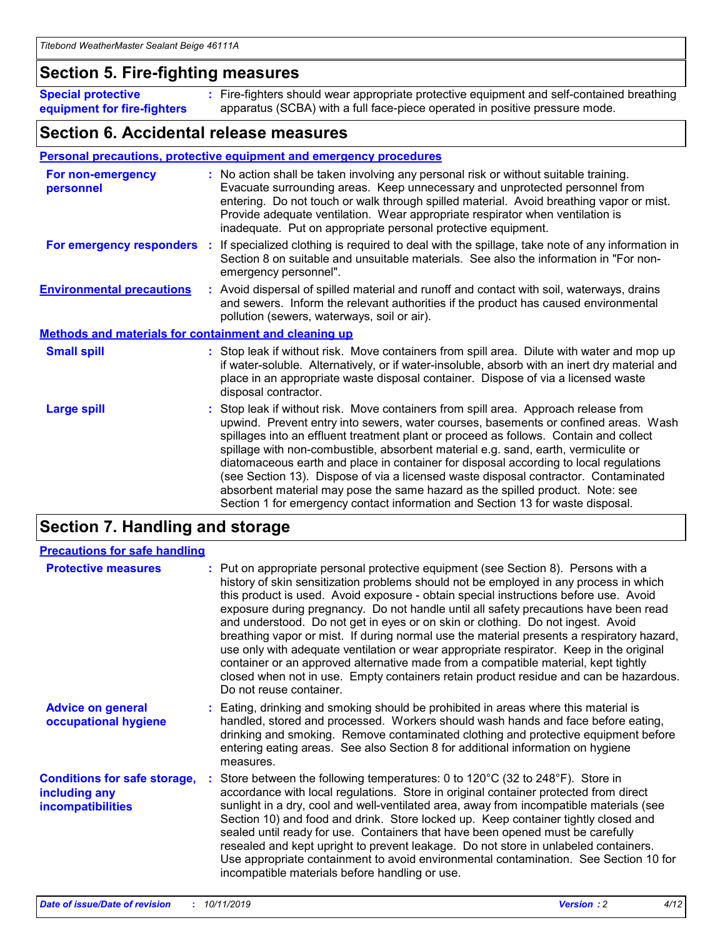### **Section 5. Fire-fighting measures**

**Special protective equipment for fire-fighters** Fire-fighters should wear appropriate protective equipment and self-contained breathing **:** apparatus (SCBA) with a full face-piece operated in positive pressure mode.

### **Section 6. Accidental release measures**

### **Personal precautions, protective equipment and emergency procedures**

| For non-emergency<br>personnel                               | : No action shall be taken involving any personal risk or without suitable training.<br>Evacuate surrounding areas. Keep unnecessary and unprotected personnel from<br>entering. Do not touch or walk through spilled material. Avoid breathing vapor or mist.<br>Provide adequate ventilation. Wear appropriate respirator when ventilation is<br>inadequate. Put on appropriate personal protective equipment.                                                                                                                                                                                                                                                                                             |
|--------------------------------------------------------------|--------------------------------------------------------------------------------------------------------------------------------------------------------------------------------------------------------------------------------------------------------------------------------------------------------------------------------------------------------------------------------------------------------------------------------------------------------------------------------------------------------------------------------------------------------------------------------------------------------------------------------------------------------------------------------------------------------------|
|                                                              | For emergency responders : If specialized clothing is required to deal with the spillage, take note of any information in<br>Section 8 on suitable and unsuitable materials. See also the information in "For non-<br>emergency personnel".                                                                                                                                                                                                                                                                                                                                                                                                                                                                  |
| <b>Environmental precautions</b>                             | : Avoid dispersal of spilled material and runoff and contact with soil, waterways, drains<br>and sewers. Inform the relevant authorities if the product has caused environmental<br>pollution (sewers, waterways, soil or air).                                                                                                                                                                                                                                                                                                                                                                                                                                                                              |
| <b>Methods and materials for containment and cleaning up</b> |                                                                                                                                                                                                                                                                                                                                                                                                                                                                                                                                                                                                                                                                                                              |
| <b>Small spill</b>                                           | : Stop leak if without risk. Move containers from spill area. Dilute with water and mop up<br>if water-soluble. Alternatively, or if water-insoluble, absorb with an inert dry material and<br>place in an appropriate waste disposal container. Dispose of via a licensed waste<br>disposal contractor.                                                                                                                                                                                                                                                                                                                                                                                                     |
| <b>Large spill</b>                                           | : Stop leak if without risk. Move containers from spill area. Approach release from<br>upwind. Prevent entry into sewers, water courses, basements or confined areas. Wash<br>spillages into an effluent treatment plant or proceed as follows. Contain and collect<br>spillage with non-combustible, absorbent material e.g. sand, earth, vermiculite or<br>diatomaceous earth and place in container for disposal according to local regulations<br>(see Section 13). Dispose of via a licensed waste disposal contractor. Contaminated<br>absorbent material may pose the same hazard as the spilled product. Note: see<br>Section 1 for emergency contact information and Section 13 for waste disposal. |

### **Section 7. Handling and storage**

| <b>Precautions for safe handling</b>                                             |                                                                                                                                                                                                                                                                                                                                                                                                                                                                                                                                                                                                                                                                                                                                                                                                                                                  |
|----------------------------------------------------------------------------------|--------------------------------------------------------------------------------------------------------------------------------------------------------------------------------------------------------------------------------------------------------------------------------------------------------------------------------------------------------------------------------------------------------------------------------------------------------------------------------------------------------------------------------------------------------------------------------------------------------------------------------------------------------------------------------------------------------------------------------------------------------------------------------------------------------------------------------------------------|
| <b>Protective measures</b>                                                       | : Put on appropriate personal protective equipment (see Section 8). Persons with a<br>history of skin sensitization problems should not be employed in any process in which<br>this product is used. Avoid exposure - obtain special instructions before use. Avoid<br>exposure during pregnancy. Do not handle until all safety precautions have been read<br>and understood. Do not get in eyes or on skin or clothing. Do not ingest. Avoid<br>breathing vapor or mist. If during normal use the material presents a respiratory hazard,<br>use only with adequate ventilation or wear appropriate respirator. Keep in the original<br>container or an approved alternative made from a compatible material, kept tightly<br>closed when not in use. Empty containers retain product residue and can be hazardous.<br>Do not reuse container. |
| <b>Advice on general</b><br>occupational hygiene                                 | : Eating, drinking and smoking should be prohibited in areas where this material is<br>handled, stored and processed. Workers should wash hands and face before eating,<br>drinking and smoking. Remove contaminated clothing and protective equipment before<br>entering eating areas. See also Section 8 for additional information on hygiene<br>measures.                                                                                                                                                                                                                                                                                                                                                                                                                                                                                    |
| <b>Conditions for safe storage,</b><br>including any<br><b>incompatibilities</b> | : Store between the following temperatures: 0 to 120 $\degree$ C (32 to 248 $\degree$ F). Store in<br>accordance with local regulations. Store in original container protected from direct<br>sunlight in a dry, cool and well-ventilated area, away from incompatible materials (see<br>Section 10) and food and drink. Store locked up. Keep container tightly closed and<br>sealed until ready for use. Containers that have been opened must be carefully<br>resealed and kept upright to prevent leakage. Do not store in unlabeled containers.<br>Use appropriate containment to avoid environmental contamination. See Section 10 for<br>incompatible materials before handling or use.                                                                                                                                                   |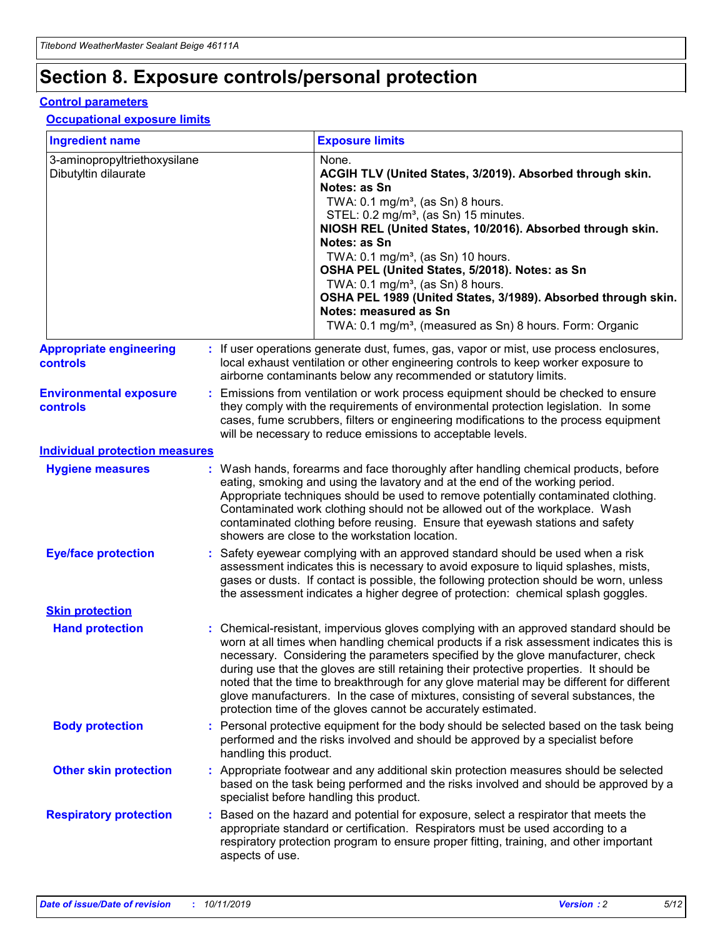## **Section 8. Exposure controls/personal protection**

#### **Control parameters**

### **Occupational exposure limits**

| <b>Ingredient name</b>                               |    |                                          | <b>Exposure limits</b>                                                                                                                                                                                                                                                                                                                                                                                                                                                                                                                                                                                                 |
|------------------------------------------------------|----|------------------------------------------|------------------------------------------------------------------------------------------------------------------------------------------------------------------------------------------------------------------------------------------------------------------------------------------------------------------------------------------------------------------------------------------------------------------------------------------------------------------------------------------------------------------------------------------------------------------------------------------------------------------------|
| 3-aminopropyltriethoxysilane<br>Dibutyltin dilaurate |    |                                          | None.<br>ACGIH TLV (United States, 3/2019). Absorbed through skin.<br>Notes: as Sn<br>TWA: 0.1 mg/m <sup>3</sup> , (as Sn) 8 hours.<br>STEL: 0.2 mg/m <sup>3</sup> , (as Sn) 15 minutes.<br>NIOSH REL (United States, 10/2016). Absorbed through skin.<br>Notes: as Sn<br>TWA: 0.1 mg/m <sup>3</sup> , (as Sn) 10 hours.<br>OSHA PEL (United States, 5/2018). Notes: as Sn<br>TWA: $0.1 \text{ mg/m}^3$ , (as Sn) 8 hours.<br>OSHA PEL 1989 (United States, 3/1989). Absorbed through skin.<br>Notes: measured as Sn<br>TWA: 0.1 mg/m <sup>3</sup> , (measured as Sn) 8 hours. Form: Organic                           |
| <b>Appropriate engineering</b><br>controls           |    |                                          | : If user operations generate dust, fumes, gas, vapor or mist, use process enclosures,<br>local exhaust ventilation or other engineering controls to keep worker exposure to<br>airborne contaminants below any recommended or statutory limits.                                                                                                                                                                                                                                                                                                                                                                       |
| <b>Environmental exposure</b><br><b>controls</b>     |    |                                          | Emissions from ventilation or work process equipment should be checked to ensure<br>they comply with the requirements of environmental protection legislation. In some<br>cases, fume scrubbers, filters or engineering modifications to the process equipment<br>will be necessary to reduce emissions to acceptable levels.                                                                                                                                                                                                                                                                                          |
| <b>Individual protection measures</b>                |    |                                          |                                                                                                                                                                                                                                                                                                                                                                                                                                                                                                                                                                                                                        |
| <b>Hygiene measures</b>                              |    |                                          | : Wash hands, forearms and face thoroughly after handling chemical products, before<br>eating, smoking and using the lavatory and at the end of the working period.<br>Appropriate techniques should be used to remove potentially contaminated clothing.<br>Contaminated work clothing should not be allowed out of the workplace. Wash<br>contaminated clothing before reusing. Ensure that eyewash stations and safety<br>showers are close to the workstation location.                                                                                                                                            |
| <b>Eye/face protection</b>                           |    |                                          | : Safety eyewear complying with an approved standard should be used when a risk<br>assessment indicates this is necessary to avoid exposure to liquid splashes, mists,<br>gases or dusts. If contact is possible, the following protection should be worn, unless<br>the assessment indicates a higher degree of protection: chemical splash goggles.                                                                                                                                                                                                                                                                  |
| <b>Skin protection</b>                               |    |                                          |                                                                                                                                                                                                                                                                                                                                                                                                                                                                                                                                                                                                                        |
| <b>Hand protection</b>                               |    |                                          | : Chemical-resistant, impervious gloves complying with an approved standard should be<br>worn at all times when handling chemical products if a risk assessment indicates this is<br>necessary. Considering the parameters specified by the glove manufacturer, check<br>during use that the gloves are still retaining their protective properties. It should be<br>noted that the time to breakthrough for any glove material may be different for different<br>glove manufacturers. In the case of mixtures, consisting of several substances, the<br>protection time of the gloves cannot be accurately estimated. |
| <b>Body protection</b>                               |    | handling this product.                   | Personal protective equipment for the body should be selected based on the task being<br>performed and the risks involved and should be approved by a specialist before                                                                                                                                                                                                                                                                                                                                                                                                                                                |
| <b>Other skin protection</b>                         |    | specialist before handling this product. | : Appropriate footwear and any additional skin protection measures should be selected<br>based on the task being performed and the risks involved and should be approved by a                                                                                                                                                                                                                                                                                                                                                                                                                                          |
| <b>Respiratory protection</b>                        | ÷. | aspects of use.                          | Based on the hazard and potential for exposure, select a respirator that meets the<br>appropriate standard or certification. Respirators must be used according to a<br>respiratory protection program to ensure proper fitting, training, and other important                                                                                                                                                                                                                                                                                                                                                         |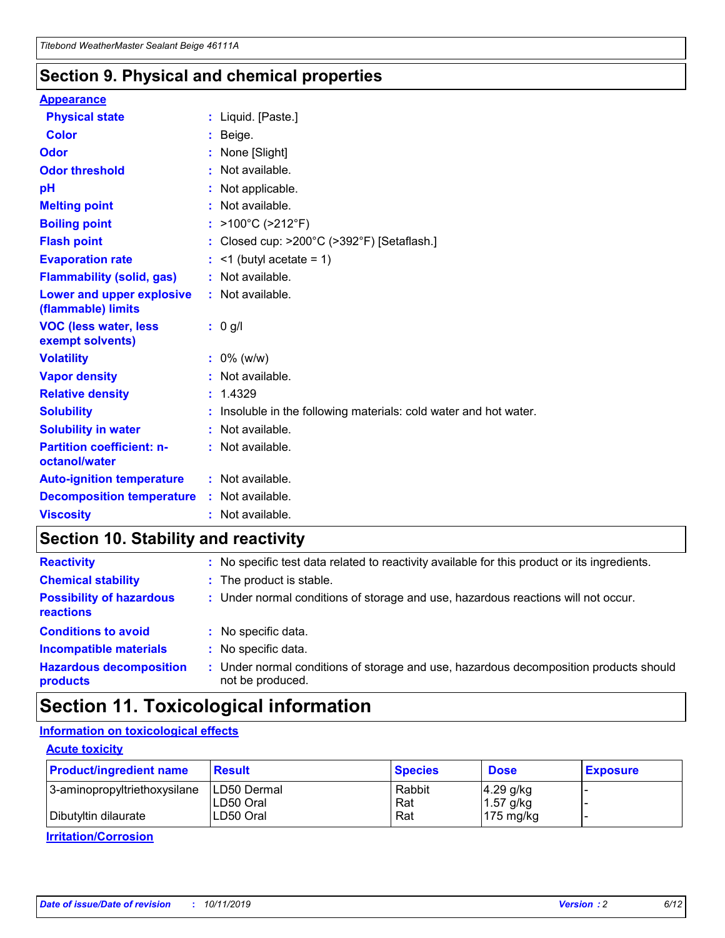### **Section 9. Physical and chemical properties**

#### **Appearance**

| <b>Physical state</b>                             | : Liquid. [Paste.]                                              |
|---------------------------------------------------|-----------------------------------------------------------------|
| <b>Color</b>                                      | Beige.                                                          |
| Odor                                              | None [Slight]                                                   |
| <b>Odor threshold</b>                             | $:$ Not available.                                              |
| рH                                                | : Not applicable.                                               |
| <b>Melting point</b>                              | : Not available.                                                |
| <b>Boiling point</b>                              | : $>100^{\circ}$ C ( $>212^{\circ}$ F)                          |
| <b>Flash point</b>                                | : Closed cup: >200°C (>392°F) [Setaflash.]                      |
| <b>Evaporation rate</b>                           | $:$ <1 (butyl acetate = 1)                                      |
| <b>Flammability (solid, gas)</b>                  | : Not available.                                                |
| Lower and upper explosive<br>(flammable) limits   | $:$ Not available.                                              |
| <b>VOC (less water, less</b><br>exempt solvents)  | : 0 g/l                                                         |
| <b>Volatility</b>                                 | $: 0\%$ (w/w)                                                   |
| <b>Vapor density</b>                              | : Not available.                                                |
| <b>Relative density</b>                           | : 1.4329                                                        |
| <b>Solubility</b>                                 | Insoluble in the following materials: cold water and hot water. |
| <b>Solubility in water</b>                        |                                                                 |
|                                                   | $:$ Not available.                                              |
| <b>Partition coefficient: n-</b><br>octanol/water | $:$ Not available.                                              |
| <b>Auto-ignition temperature</b>                  | : Not available.                                                |
| <b>Decomposition temperature</b>                  | : Not available.                                                |

### **Section 10. Stability and reactivity**

| <b>Reactivity</b>                            |    | : No specific test data related to reactivity available for this product or its ingredients.            |
|----------------------------------------------|----|---------------------------------------------------------------------------------------------------------|
| <b>Chemical stability</b>                    |    | : The product is stable.                                                                                |
| <b>Possibility of hazardous</b><br>reactions |    | : Under normal conditions of storage and use, hazardous reactions will not occur.                       |
| <b>Conditions to avoid</b>                   |    | : No specific data.                                                                                     |
| <b>Incompatible materials</b>                | ٠. | No specific data.                                                                                       |
| <b>Hazardous decomposition</b><br>products   | ÷. | Under normal conditions of storage and use, hazardous decomposition products should<br>not be produced. |

### **Section 11. Toxicological information**

### **Information on toxicological effects**

### **Acute toxicity**

| <b>Product/ingredient name</b> | <b>Result</b>           | <b>Species</b> | <b>Dose</b>                | <b>Exposure</b> |
|--------------------------------|-------------------------|----------------|----------------------------|-----------------|
| 3-aminopropyltriethoxysilane   | <b>ILD50 Dermal</b>     | Rabbit         | 4.29 g/kg                  |                 |
| Dibutyltin dilaurate           | ILD50 Oral<br>LD50 Oral | Rat<br>Rat     | $1.57$ g/kg<br>175 $mg/kg$ |                 |
|                                |                         |                |                            |                 |

**Irritation/Corrosion**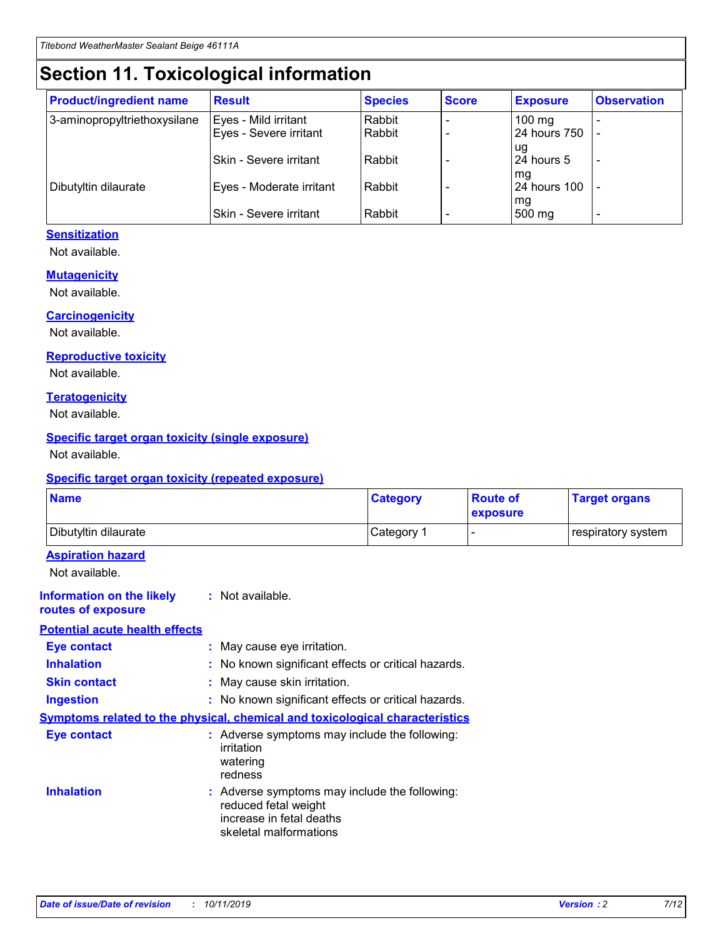## **Section 11. Toxicological information**

| <b>Product/ingredient name</b> | <b>Result</b>            | <b>Species</b> | <b>Score</b> | <b>Exposure</b>     | <b>Observation</b> |
|--------------------------------|--------------------------|----------------|--------------|---------------------|--------------------|
| 3-aminopropyltriethoxysilane   | Eyes - Mild irritant     | Rabbit         |              | $100 \text{ mg}$    |                    |
|                                | Eyes - Severe irritant   | Rabbit         |              | 24 hours 750        |                    |
|                                |                          |                |              | ug                  |                    |
|                                | Skin - Severe irritant   | Rabbit         |              | 24 hours 5          |                    |
|                                |                          |                |              | mq                  |                    |
| Dibutyltin dilaurate           | Eyes - Moderate irritant | Rabbit         |              | <b>24 hours 100</b> |                    |
|                                | Skin - Severe irritant   | Rabbit         |              | mg<br>500 mg        |                    |
|                                |                          |                |              |                     |                    |

### **Sensitization**

Not available.

#### **Mutagenicity**

Not available.

#### **Carcinogenicity**

Not available.

#### **Reproductive toxicity**

Not available.

#### **Teratogenicity**

Not available.

#### **Specific target organ toxicity (single exposure)**

Not available.

#### **Specific target organ toxicity (repeated exposure)**

| <b>Name</b>                                                                         |                                                                            | <b>Category</b>                                     | <b>Route of</b><br>exposure | <b>Target organs</b> |
|-------------------------------------------------------------------------------------|----------------------------------------------------------------------------|-----------------------------------------------------|-----------------------------|----------------------|
| Dibutyltin dilaurate                                                                |                                                                            | Category 1                                          | -                           | respiratory system   |
| <b>Aspiration hazard</b><br>Not available.                                          |                                                                            |                                                     |                             |                      |
| <b>Information on the likely</b><br>routes of exposure                              | : Not available.                                                           |                                                     |                             |                      |
| <b>Potential acute health effects</b>                                               |                                                                            |                                                     |                             |                      |
| <b>Eye contact</b>                                                                  | : May cause eye irritation.                                                |                                                     |                             |                      |
| <b>Inhalation</b>                                                                   |                                                                            | : No known significant effects or critical hazards. |                             |                      |
| <b>Skin contact</b>                                                                 | : May cause skin irritation.                                               |                                                     |                             |                      |
| <b>Ingestion</b>                                                                    |                                                                            | : No known significant effects or critical hazards. |                             |                      |
| <b>Symptoms related to the physical, chemical and toxicological characteristics</b> |                                                                            |                                                     |                             |                      |
| <b>Eye contact</b>                                                                  | irritation<br>watering<br>redness                                          | : Adverse symptoms may include the following:       |                             |                      |
| <b>Inhalation</b>                                                                   | reduced fetal weight<br>increase in fetal deaths<br>skeletal malformations | : Adverse symptoms may include the following:       |                             |                      |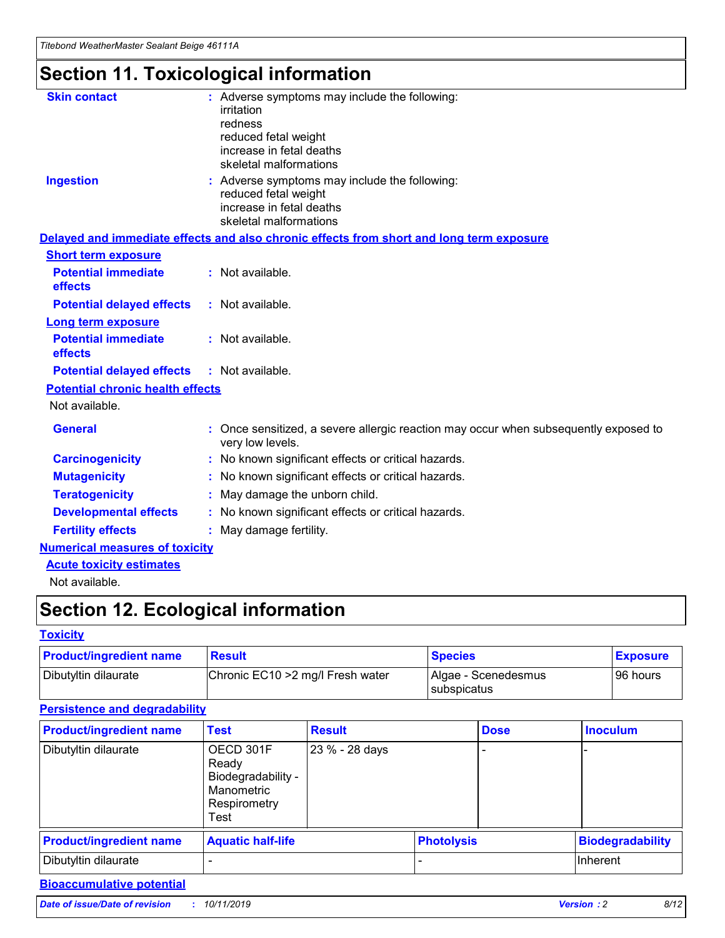## **Section 11. Toxicological information**

| <b>Skin contact</b>                     |                                                                                                          |
|-----------------------------------------|----------------------------------------------------------------------------------------------------------|
|                                         | : Adverse symptoms may include the following:<br>irritation                                              |
|                                         | redness                                                                                                  |
|                                         | reduced fetal weight                                                                                     |
|                                         | increase in fetal deaths                                                                                 |
|                                         | skeletal malformations                                                                                   |
| <b>Ingestion</b>                        | : Adverse symptoms may include the following:                                                            |
|                                         | reduced fetal weight                                                                                     |
|                                         | increase in fetal deaths                                                                                 |
|                                         | skeletal malformations                                                                                   |
|                                         | Delayed and immediate effects and also chronic effects from short and long term exposure                 |
| <b>Short term exposure</b>              |                                                                                                          |
| <b>Potential immediate</b>              | : Not available.                                                                                         |
| effects                                 |                                                                                                          |
| <b>Potential delayed effects</b>        | : Not available.                                                                                         |
| <b>Long term exposure</b>               |                                                                                                          |
| <b>Potential immediate</b>              | : Not available.                                                                                         |
| effects                                 |                                                                                                          |
| <b>Potential delayed effects</b>        | : Not available.                                                                                         |
| <b>Potential chronic health effects</b> |                                                                                                          |
| Not available.                          |                                                                                                          |
| <b>General</b>                          | : Once sensitized, a severe allergic reaction may occur when subsequently exposed to<br>very low levels. |
| <b>Carcinogenicity</b>                  | : No known significant effects or critical hazards.                                                      |
| <b>Mutagenicity</b>                     | No known significant effects or critical hazards.                                                        |
| <b>Teratogenicity</b>                   | May damage the unborn child.                                                                             |
| <b>Developmental effects</b>            | No known significant effects or critical hazards.                                                        |
| <b>Fertility effects</b>                | : May damage fertility.                                                                                  |
| <b>Numerical measures of toxicity</b>   |                                                                                                          |
| <b>Acute toxicity estimates</b>         |                                                                                                          |
|                                         |                                                                                                          |

Not available.

## **Section 12. Ecological information**

### **Toxicity**

| <b>Product/ingredient name</b> | <b>Result</b>                     | <b>Species</b>                            | <b>Exposure</b> |
|--------------------------------|-----------------------------------|-------------------------------------------|-----------------|
| Dibutyltin dilaurate           | Chronic EC10 > 2 mg/l Fresh water | Algae - Scenedesmus<br><b>Subspicatus</b> | l 96 hours      |

### **Persistence and degradability**

| <b>Product/ingredient name</b> | Test                                                                           | <b>Result</b>  |                   | <b>Dose</b> | <b>Inoculum</b>         |
|--------------------------------|--------------------------------------------------------------------------------|----------------|-------------------|-------------|-------------------------|
| Dibutyltin dilaurate           | OECD 301F<br>Ready<br>Biodegradability -<br>Manometric<br>Respirometry<br>Test | 23 % - 28 days |                   |             |                         |
| <b>Product/ingredient name</b> | <b>Aquatic half-life</b>                                                       |                | <b>Photolysis</b> |             | <b>Biodegradability</b> |
| Dibutyltin dilaurate           |                                                                                |                |                   |             | Inherent                |

### **Bioaccumulative potential**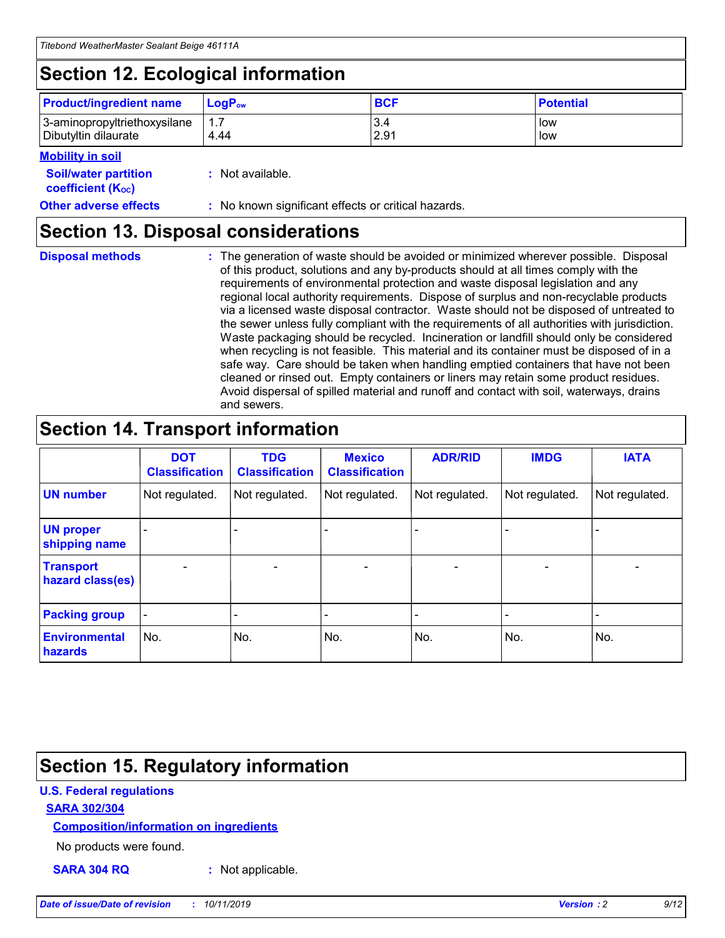## **Section 12. Ecological information**

| <b>Product/ingredient name</b> | $LoaPow$ | <b>BCF</b> | <b>Potential</b> |
|--------------------------------|----------|------------|------------------|
| 3-aminopropyltriethoxysilane   | 1.7      | 3.4        | low              |
| Dibutyltin dilaurate           | 4.44     | 2.91       | low              |

### **Mobility in soil**

| <b>Soil/water partition</b><br>coefficient (K <sub>oc</sub> ) | : Not available.                                    |
|---------------------------------------------------------------|-----------------------------------------------------|
| <b>Other adverse effects</b>                                  | : No known significant effects or critical hazards. |

### **Section 13. Disposal considerations**

**Disposal methods :**

The generation of waste should be avoided or minimized wherever possible. Disposal of this product, solutions and any by-products should at all times comply with the requirements of environmental protection and waste disposal legislation and any regional local authority requirements. Dispose of surplus and non-recyclable products via a licensed waste disposal contractor. Waste should not be disposed of untreated to the sewer unless fully compliant with the requirements of all authorities with jurisdiction. Waste packaging should be recycled. Incineration or landfill should only be considered when recycling is not feasible. This material and its container must be disposed of in a safe way. Care should be taken when handling emptied containers that have not been cleaned or rinsed out. Empty containers or liners may retain some product residues. Avoid dispersal of spilled material and runoff and contact with soil, waterways, drains and sewers.

## **Section 14. Transport information**

|                                      | <b>DOT</b><br><b>Classification</b> | <b>TDG</b><br><b>Classification</b> | <b>Mexico</b><br><b>Classification</b> | <b>ADR/RID</b>               | <b>IMDG</b>    | <b>IATA</b>              |
|--------------------------------------|-------------------------------------|-------------------------------------|----------------------------------------|------------------------------|----------------|--------------------------|
| <b>UN number</b>                     | Not regulated.                      | Not regulated.                      | Not regulated.                         | Not regulated.               | Not regulated. | Not regulated.           |
| <b>UN proper</b><br>shipping name    |                                     |                                     |                                        |                              |                |                          |
| <b>Transport</b><br>hazard class(es) | $\blacksquare$                      | $\overline{\phantom{0}}$            | $\overline{\phantom{a}}$               | $\qquad \qquad \blacksquare$ | $\blacksquare$ | $\overline{\phantom{0}}$ |
| <b>Packing group</b>                 | $\overline{\phantom{a}}$            | -                                   |                                        | -                            |                | -                        |
| <b>Environmental</b><br>hazards      | No.                                 | No.                                 | No.                                    | No.                          | No.            | No.                      |

## **Section 15. Regulatory information**

### **U.S. Federal regulations**

### **SARA 302/304**

### **Composition/information on ingredients**

No products were found.

**SARA 304 RQ :** Not applicable.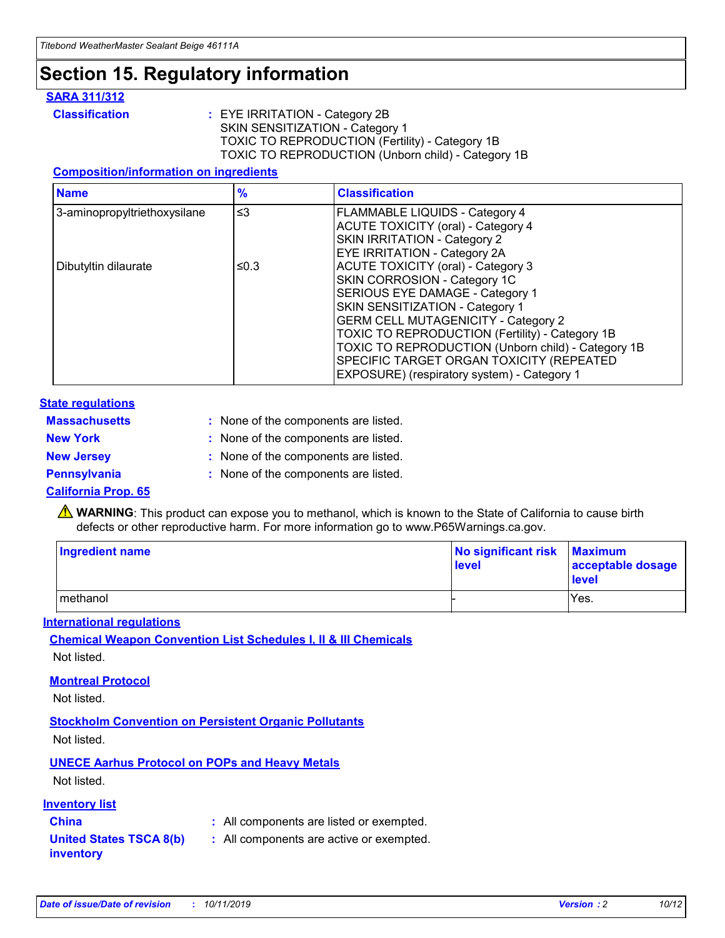## **Section 15. Regulatory information**

### **SARA 311/312**

**Classification :** EYE IRRITATION - Category 2B SKIN SENSITIZATION - Category 1 TOXIC TO REPRODUCTION (Fertility) - Category 1B TOXIC TO REPRODUCTION (Unborn child) - Category 1B

### **Composition/information on ingredients**

| <b>Name</b>                  | $\frac{9}{6}$ | <b>Classification</b>                                                                                            |
|------------------------------|---------------|------------------------------------------------------------------------------------------------------------------|
| 3-aminopropyltriethoxysilane | $\leq$ 3      | <b>FLAMMABLE LIQUIDS - Category 4</b><br><b>ACUTE TOXICITY (oral) - Category 4</b>                               |
|                              |               | SKIN IRRITATION - Category 2<br>EYE IRRITATION - Category 2A                                                     |
| Dibutyltin dilaurate         | ≤0.3          | ACUTE TOXICITY (oral) - Category 3<br>SKIN CORROSION - Category 1C                                               |
|                              |               | SERIOUS EYE DAMAGE - Category 1<br>SKIN SENSITIZATION - Category 1<br><b>GERM CELL MUTAGENICITY - Category 2</b> |
|                              |               | TOXIC TO REPRODUCTION (Fertility) - Category 1B<br>TOXIC TO REPRODUCTION (Unborn child) - Category 1B            |
|                              |               | SPECIFIC TARGET ORGAN TOXICITY (REPEATED<br>EXPOSURE) (respiratory system) - Category 1                          |

#### **State regulations**

| <b>Massachusetts</b> | : None of the components are listed. |
|----------------------|--------------------------------------|
| <b>New York</b>      | : None of the components are listed. |
| <b>New Jersey</b>    | : None of the components are listed. |
| <b>Pennsylvania</b>  | : None of the components are listed. |

#### **California Prop. 65**

**A** WARNING: This product can expose you to methanol, which is known to the State of California to cause birth defects or other reproductive harm. For more information go to www.P65Warnings.ca.gov.

| <b>Ingredient name</b> | No significant risk Maximum<br>level | acceptable dosage<br>level |
|------------------------|--------------------------------------|----------------------------|
| methanol               |                                      | Yes.                       |

#### **International regulations**

**Chemical Weapon Convention List Schedules I, II & III Chemicals** Not listed.

#### **Montreal Protocol**

Not listed.

**Stockholm Convention on Persistent Organic Pollutants**

Not listed.

### **UNECE Aarhus Protocol on POPs and Heavy Metals**

Not listed.

### **Inventory list**

### **China :** All components are listed or exempted.

**United States TSCA 8(b) inventory :** All components are active or exempted.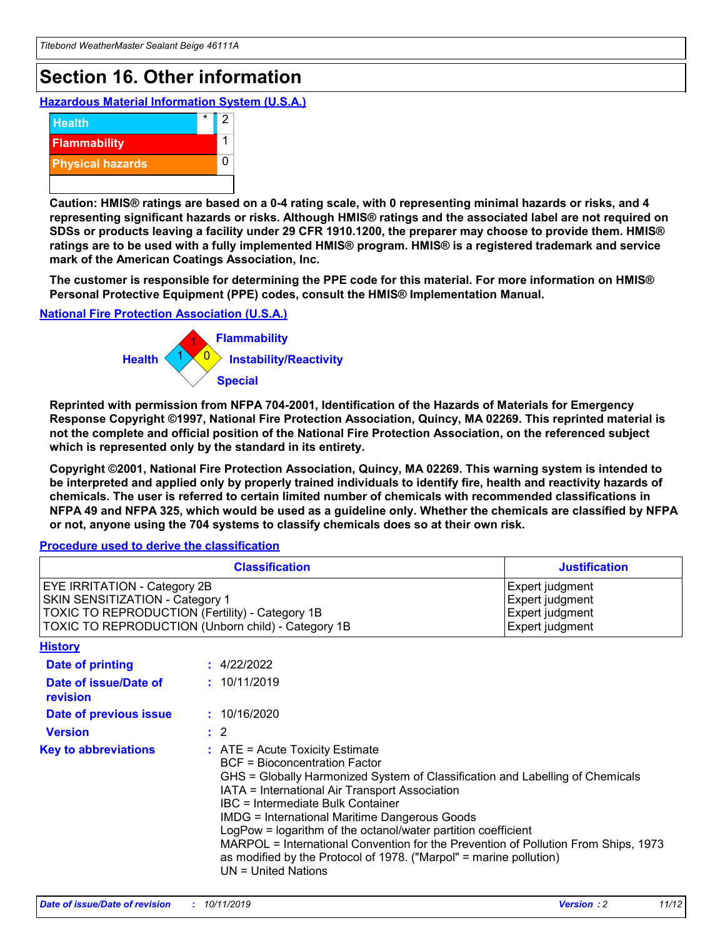## **Section 16. Other information**

**Hazardous Material Information System (U.S.A.)**



**Caution: HMIS® ratings are based on a 0-4 rating scale, with 0 representing minimal hazards or risks, and 4 representing significant hazards or risks. Although HMIS® ratings and the associated label are not required on SDSs or products leaving a facility under 29 CFR 1910.1200, the preparer may choose to provide them. HMIS® ratings are to be used with a fully implemented HMIS® program. HMIS® is a registered trademark and service mark of the American Coatings Association, Inc.**

**The customer is responsible for determining the PPE code for this material. For more information on HMIS® Personal Protective Equipment (PPE) codes, consult the HMIS® Implementation Manual.**

#### **National Fire Protection Association (U.S.A.)**



**Reprinted with permission from NFPA 704-2001, Identification of the Hazards of Materials for Emergency Response Copyright ©1997, National Fire Protection Association, Quincy, MA 02269. This reprinted material is not the complete and official position of the National Fire Protection Association, on the referenced subject which is represented only by the standard in its entirety.**

**Copyright ©2001, National Fire Protection Association, Quincy, MA 02269. This warning system is intended to be interpreted and applied only by properly trained individuals to identify fire, health and reactivity hazards of chemicals. The user is referred to certain limited number of chemicals with recommended classifications in NFPA 49 and NFPA 325, which would be used as a guideline only. Whether the chemicals are classified by NFPA or not, anyone using the 704 systems to classify chemicals does so at their own risk.**

**Procedure used to derive the classification**

| <b>Classification</b>                                                                                                                                                    |                                                                                                                                                  | <b>Justification</b>                                                                                                                                                                                                                                                                                                                                                                                                 |  |
|--------------------------------------------------------------------------------------------------------------------------------------------------------------------------|--------------------------------------------------------------------------------------------------------------------------------------------------|----------------------------------------------------------------------------------------------------------------------------------------------------------------------------------------------------------------------------------------------------------------------------------------------------------------------------------------------------------------------------------------------------------------------|--|
| EYE IRRITATION - Category 2B<br>SKIN SENSITIZATION - Category 1<br>TOXIC TO REPRODUCTION (Fertility) - Category 1B<br>TOXIC TO REPRODUCTION (Unborn child) - Category 1B |                                                                                                                                                  | Expert judgment<br>Expert judgment<br>Expert judgment<br>Expert judgment                                                                                                                                                                                                                                                                                                                                             |  |
| <b>History</b>                                                                                                                                                           |                                                                                                                                                  |                                                                                                                                                                                                                                                                                                                                                                                                                      |  |
| Date of printing                                                                                                                                                         | : 4/22/2022                                                                                                                                      |                                                                                                                                                                                                                                                                                                                                                                                                                      |  |
| Date of issue/Date of<br>revision                                                                                                                                        | : 10/11/2019                                                                                                                                     |                                                                                                                                                                                                                                                                                                                                                                                                                      |  |
| Date of previous issue                                                                                                                                                   | : 10/16/2020                                                                                                                                     |                                                                                                                                                                                                                                                                                                                                                                                                                      |  |
| <b>Version</b>                                                                                                                                                           | $\therefore$ 2                                                                                                                                   |                                                                                                                                                                                                                                                                                                                                                                                                                      |  |
| <b>Key to abbreviations</b>                                                                                                                                              | $\therefore$ ATE = Acute Toxicity Estimate<br><b>BCF</b> = Bioconcentration Factor<br>IBC = Intermediate Bulk Container<br>$UN = United Nations$ | GHS = Globally Harmonized System of Classification and Labelling of Chemicals<br>IATA = International Air Transport Association<br><b>IMDG = International Maritime Dangerous Goods</b><br>LogPow = logarithm of the octanol/water partition coefficient<br>MARPOL = International Convention for the Prevention of Pollution From Ships, 1973<br>as modified by the Protocol of 1978. ("Marpol" = marine pollution) |  |